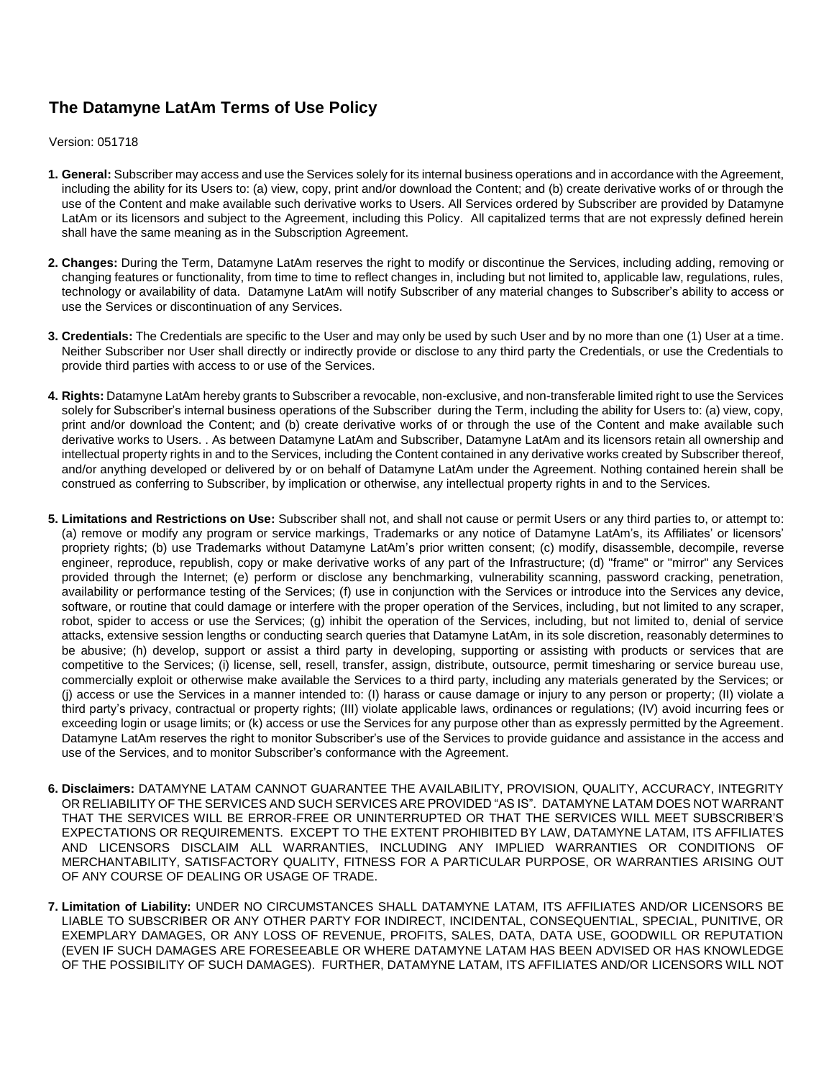## **The Datamyne LatAm Terms of Use Policy**

Version: 051718

- **1. General:** Subscriber may access and use the Services solely for its internal business operations and in accordance with the Agreement, including the ability for its Users to: (a) view, copy, print and/or download the Content; and (b) create derivative works of or through the use of the Content and make available such derivative works to Users. All Services ordered by Subscriber are provided by Datamyne LatAm or its licensors and subject to the Agreement, including this Policy. All capitalized terms that are not expressly defined herein shall have the same meaning as in the Subscription Agreement.
- **2. Changes:** During the Term, Datamyne LatAm reserves the right to modify or discontinue the Services, including adding, removing or changing features or functionality, from time to time to reflect changes in, including but not limited to, applicable law, regulations, rules, technology or availability of data. Datamyne LatAm will notify Subscriber of any material changes to Subscriber's ability to access or use the Services or discontinuation of any Services.
- **3. Credentials:** The Credentials are specific to the User and may only be used by such User and by no more than one (1) User at a time. Neither Subscriber nor User shall directly or indirectly provide or disclose to any third party the Credentials, or use the Credentials to provide third parties with access to or use of the Services.
- **4. Rights:** Datamyne LatAm hereby grants to Subscriber a revocable, non-exclusive, and non-transferable limited right to use the Services solely for Subscriber's internal business operations of the Subscriber during the Term, including the ability for Users to: (a) view, copy, print and/or download the Content; and (b) create derivative works of or through the use of the Content and make available such derivative works to Users. . As between Datamyne LatAm and Subscriber, Datamyne LatAm and its licensors retain all ownership and intellectual property rights in and to the Services, including the Content contained in any derivative works created by Subscriber thereof, and/or anything developed or delivered by or on behalf of Datamyne LatAm under the Agreement. Nothing contained herein shall be construed as conferring to Subscriber, by implication or otherwise, any intellectual property rights in and to the Services.
- **5. Limitations and Restrictions on Use:** Subscriber shall not, and shall not cause or permit Users or any third parties to, or attempt to: (a) remove or modify any program or service markings, Trademarks or any notice of Datamyne LatAm's, its Affiliates' or licensors' propriety rights; (b) use Trademarks without Datamyne LatAm's prior written consent; (c) modify, disassemble, decompile, reverse engineer, reproduce, republish, copy or make derivative works of any part of the Infrastructure; (d) "frame" or "mirror" any Services provided through the Internet; (e) perform or disclose any benchmarking, vulnerability scanning, password cracking, penetration, availability or performance testing of the Services; (f) use in conjunction with the Services or introduce into the Services any device, software, or routine that could damage or interfere with the proper operation of the Services, including, but not limited to any scraper, robot, spider to access or use the Services; (g) inhibit the operation of the Services, including, but not limited to, denial of service attacks, extensive session lengths or conducting search queries that Datamyne LatAm, in its sole discretion, reasonably determines to be abusive; (h) develop, support or assist a third party in developing, supporting or assisting with products or services that are competitive to the Services; (i) license, sell, resell, transfer, assign, distribute, outsource, permit timesharing or service bureau use, commercially exploit or otherwise make available the Services to a third party, including any materials generated by the Services; or (j) access or use the Services in a manner intended to: (I) harass or cause damage or injury to any person or property; (II) violate a third party's privacy, contractual or property rights; (III) violate applicable laws, ordinances or regulations; (IV) avoid incurring fees or exceeding login or usage limits; or (k) access or use the Services for any purpose other than as expressly permitted by the Agreement. Datamyne LatAm reserves the right to monitor Subscriber's use of the Services to provide guidance and assistance in the access and use of the Services, and to monitor Subscriber's conformance with the Agreement.
- **6. Disclaimers:** DATAMYNE LATAM CANNOT GUARANTEE THE AVAILABILITY, PROVISION, QUALITY, ACCURACY, INTEGRITY OR RELIABILITY OF THE SERVICES AND SUCH SERVICES ARE PROVIDED "AS IS". DATAMYNE LATAM DOES NOT WARRANT THAT THE SERVICES WILL BE ERROR-FREE OR UNINTERRUPTED OR THAT THE SERVICES WILL MEET SUBSCRIBER'S EXPECTATIONS OR REQUIREMENTS. EXCEPT TO THE EXTENT PROHIBITED BY LAW, DATAMYNE LATAM, ITS AFFILIATES AND LICENSORS DISCLAIM ALL WARRANTIES, INCLUDING ANY IMPLIED WARRANTIES OR CONDITIONS OF MERCHANTABILITY, SATISFACTORY QUALITY, FITNESS FOR A PARTICULAR PURPOSE, OR WARRANTIES ARISING OUT OF ANY COURSE OF DEALING OR USAGE OF TRADE.
- **7. Limitation of Liability:** UNDER NO CIRCUMSTANCES SHALL DATAMYNE LATAM, ITS AFFILIATES AND/OR LICENSORS BE LIABLE TO SUBSCRIBER OR ANY OTHER PARTY FOR INDIRECT, INCIDENTAL, CONSEQUENTIAL, SPECIAL, PUNITIVE, OR EXEMPLARY DAMAGES, OR ANY LOSS OF REVENUE, PROFITS, SALES, DATA, DATA USE, GOODWILL OR REPUTATION (EVEN IF SUCH DAMAGES ARE FORESEEABLE OR WHERE DATAMYNE LATAM HAS BEEN ADVISED OR HAS KNOWLEDGE OF THE POSSIBILITY OF SUCH DAMAGES). FURTHER, DATAMYNE LATAM, ITS AFFILIATES AND/OR LICENSORS WILL NOT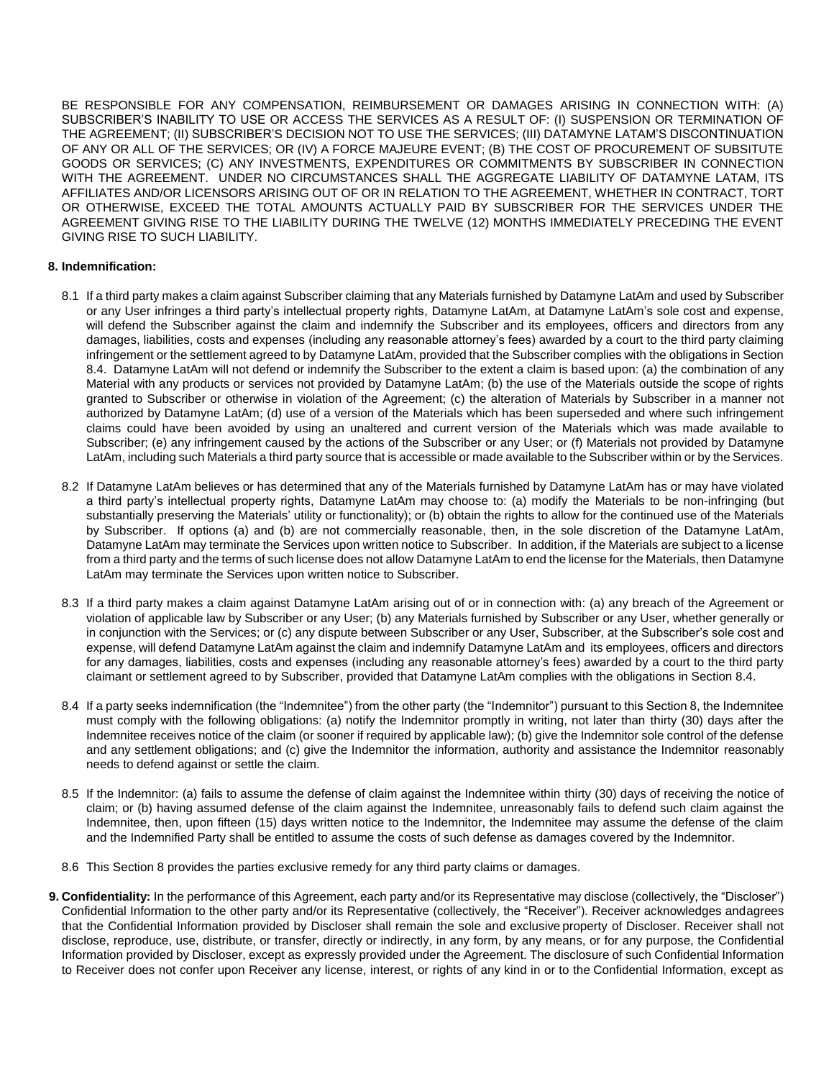BE RESPONSIBLE FOR ANY COMPENSATION, REIMBURSEMENT OR DAMAGES ARISING IN CONNECTION WITH: (A) SUBSCRIBER'S INABILITY TO USE OR ACCESS THE SERVICES AS A RESULT OF: (I) SUSPENSION OR TERMINATION OF THE AGREEMENT; (II) SUBSCRIBER'S DECISION NOT TO USE THE SERVICES; (III) DATAMYNE LATAM'S DISCONTINUATION OF ANY OR ALL OF THE SERVICES; OR (IV) A FORCE MAJEURE EVENT; (B) THE COST OF PROCUREMENT OF SUBSITUTE GOODS OR SERVICES; (C) ANY INVESTMENTS, EXPENDITURES OR COMMITMENTS BY SUBSCRIBER IN CONNECTION WITH THE AGREEMENT. UNDER NO CIRCUMSTANCES SHALL THE AGGREGATE LIABILITY OF DATAMYNE LATAM, ITS AFFILIATES AND/OR LICENSORS ARISING OUT OF OR IN RELATION TO THE AGREEMENT, WHETHER IN CONTRACT, TORT OR OTHERWISE, EXCEED THE TOTAL AMOUNTS ACTUALLY PAID BY SUBSCRIBER FOR THE SERVICES UNDER THE AGREEMENT GIVING RISE TO THE LIABILITY DURING THE TWELVE (12) MONTHS IMMEDIATELY PRECEDING THE EVENT GIVING RISE TO SUCH LIABILITY.

## **8. Indemnification:**

- 8.1 If a third party makes a claim against Subscriber claiming that any Materials furnished by Datamyne LatAm and used by Subscriber or any User infringes a third party's intellectual property rights, Datamyne LatAm, at Datamyne LatAm's sole cost and expense, will defend the Subscriber against the claim and indemnify the Subscriber and its employees, officers and directors from any damages, liabilities, costs and expenses (including any reasonable attorney's fees) awarded by a court to the third party claiming infringement or the settlement agreed to by Datamyne LatAm, provided that the Subscriber complies with the obligations in Section 8.4. Datamyne LatAm will not defend or indemnify the Subscriber to the extent a claim is based upon: (a) the combination of any Material with any products or services not provided by Datamyne LatAm; (b) the use of the Materials outside the scope of rights granted to Subscriber or otherwise in violation of the Agreement; (c) the alteration of Materials by Subscriber in a manner not authorized by Datamyne LatAm; (d) use of a version of the Materials which has been superseded and where such infringement claims could have been avoided by using an unaltered and current version of the Materials which was made available to Subscriber; (e) any infringement caused by the actions of the Subscriber or any User; or (f) Materials not provided by Datamyne LatAm, including such Materials a third party source that is accessible or made available to the Subscriber within or by the Services.
- 8.2 If Datamyne LatAm believes or has determined that any of the Materials furnished by Datamyne LatAm has or may have violated a third party's intellectual property rights, Datamyne LatAm may choose to: (a) modify the Materials to be non-infringing (but substantially preserving the Materials' utility or functionality); or (b) obtain the rights to allow for the continued use of the Materials by Subscriber. If options (a) and (b) are not commercially reasonable, then, in the sole discretion of the Datamyne LatAm, Datamyne LatAm may terminate the Services upon written notice to Subscriber. In addition, if the Materials are subject to a license from a third party and the terms of such license does not allow Datamyne LatAm to end the license for the Materials, then Datamyne LatAm may terminate the Services upon written notice to Subscriber.
- 8.3 If a third party makes a claim against Datamyne LatAm arising out of or in connection with: (a) any breach of the Agreement or violation of applicable law by Subscriber or any User; (b) any Materials furnished by Subscriber or any User, whether generally or in conjunction with the Services; or (c) any dispute between Subscriber or any User, Subscriber, at the Subscriber's sole cost and expense, will defend Datamyne LatAm against the claim and indemnify Datamyne LatAm and its employees, officers and directors for any damages, liabilities, costs and expenses (including any reasonable attorney's fees) awarded by a court to the third party claimant or settlement agreed to by Subscriber, provided that Datamyne LatAm complies with the obligations in Section 8.4.
- 8.4 If a party seeks indemnification (the "Indemnitee") from the other party (the "Indemnitor") pursuant to this Section 8, the Indemnitee must comply with the following obligations: (a) notify the Indemnitor promptly in writing, not later than thirty (30) days after the Indemnitee receives notice of the claim (or sooner if required by applicable law); (b) give the Indemnitor sole control of the defense and any settlement obligations; and (c) give the Indemnitor the information, authority and assistance the Indemnitor reasonably needs to defend against or settle the claim.
- 8.5 If the Indemnitor: (a) fails to assume the defense of claim against the Indemnitee within thirty (30) days of receiving the notice of claim; or (b) having assumed defense of the claim against the Indemnitee, unreasonably fails to defend such claim against the Indemnitee, then, upon fifteen (15) days written notice to the Indemnitor, the Indemnitee may assume the defense of the claim and the Indemnified Party shall be entitled to assume the costs of such defense as damages covered by the Indemnitor.
- 8.6 This Section 8 provides the parties exclusive remedy for any third party claims or damages.
- **9. Confidentiality:** In the performance of this Agreement, each party and/or its Representative may disclose (collectively, the "Discloser") Confidential Information to the other party and/or its Representative (collectively, the "Receiver"). Receiver acknowledges andagrees that the Confidential Information provided by Discloser shall remain the sole and exclusive property of Discloser. Receiver shall not disclose, reproduce, use, distribute, or transfer, directly or indirectly, in any form, by any means, or for any purpose, the Confidential Information provided by Discloser, except as expressly provided under the Agreement. The disclosure of such Confidential Information to Receiver does not confer upon Receiver any license, interest, or rights of any kind in or to the Confidential Information, except as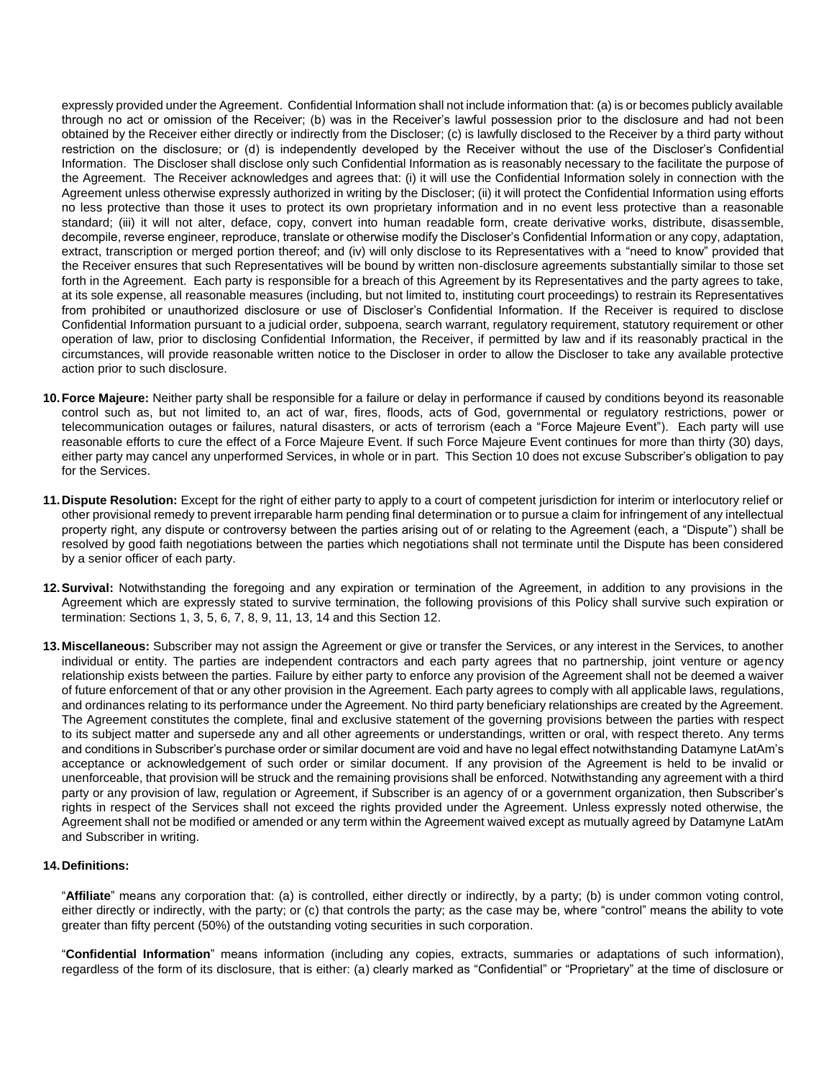expressly provided under the Agreement. Confidential Information shall not include information that: (a) is or becomes publicly available through no act or omission of the Receiver; (b) was in the Receiver's lawful possession prior to the disclosure and had not been obtained by the Receiver either directly or indirectly from the Discloser; (c) is lawfully disclosed to the Receiver by a third party without restriction on the disclosure; or (d) is independently developed by the Receiver without the use of the Discloser's Confidential Information. The Discloser shall disclose only such Confidential Information as is reasonably necessary to the facilitate the purpose of the Agreement. The Receiver acknowledges and agrees that: (i) it will use the Confidential Information solely in connection with the Agreement unless otherwise expressly authorized in writing by the Discloser; (ii) it will protect the Confidential Information using efforts no less protective than those it uses to protect its own proprietary information and in no event less protective than a reasonable standard; (iii) it will not alter, deface, copy, convert into human readable form, create derivative works, distribute, disassemble, decompile, reverse engineer, reproduce, translate or otherwise modify the Discloser's Confidential Information or any copy, adaptation, extract, transcription or merged portion thereof; and (iv) will only disclose to its Representatives with a "need to know" provided that the Receiver ensures that such Representatives will be bound by written non-disclosure agreements substantially similar to those set forth in the Agreement. Each party is responsible for a breach of this Agreement by its Representatives and the party agrees to take, at its sole expense, all reasonable measures (including, but not limited to, instituting court proceedings) to restrain its Representatives from prohibited or unauthorized disclosure or use of Discloser's Confidential Information. If the Receiver is required to disclose Confidential Information pursuant to a judicial order, subpoena, search warrant, regulatory requirement, statutory requirement or other operation of law, prior to disclosing Confidential Information, the Receiver, if permitted by law and if its reasonably practical in the circumstances, will provide reasonable written notice to the Discloser in order to allow the Discloser to take any available protective action prior to such disclosure.

- **10.Force Majeure:** Neither party shall be responsible for a failure or delay in performance if caused by conditions beyond its reasonable control such as, but not limited to, an act of war, fires, floods, acts of God, governmental or regulatory restrictions, power or telecommunication outages or failures, natural disasters, or acts of terrorism (each a "Force Majeure Event"). Each party will use reasonable efforts to cure the effect of a Force Majeure Event. If such Force Majeure Event continues for more than thirty (30) days, either party may cancel any unperformed Services, in whole or in part. This Section 10 does not excuse Subscriber's obligation to pay for the Services.
- **11.Dispute Resolution:** Except for the right of either party to apply to a court of competent jurisdiction for interim or interlocutory relief or other provisional remedy to prevent irreparable harm pending final determination or to pursue a claim for infringement of any intellectual property right, any dispute or controversy between the parties arising out of or relating to the Agreement (each, a "Dispute") shall be resolved by good faith negotiations between the parties which negotiations shall not terminate until the Dispute has been considered by a senior officer of each party.
- **12.Survival:** Notwithstanding the foregoing and any expiration or termination of the Agreement, in addition to any provisions in the Agreement which are expressly stated to survive termination, the following provisions of this Policy shall survive such expiration or termination: Sections 1, 3, 5, 6, 7, 8, 9, 11, 13, 14 and this Section 12.
- **13.Miscellaneous:** Subscriber may not assign the Agreement or give or transfer the Services, or any interest in the Services, to another individual or entity. The parties are independent contractors and each party agrees that no partnership, joint venture or agency relationship exists between the parties. Failure by either party to enforce any provision of the Agreement shall not be deemed a waiver of future enforcement of that or any other provision in the Agreement. Each party agrees to comply with all applicable laws, regulations, and ordinances relating to its performance under the Agreement. No third party beneficiary relationships are created by the Agreement. The Agreement constitutes the complete, final and exclusive statement of the governing provisions between the parties with respect to its subject matter and supersede any and all other agreements or understandings, written or oral, with respect thereto. Any terms and conditions in Subscriber's purchase order or similar document are void and have no legal effect notwithstanding Datamyne LatAm's acceptance or acknowledgement of such order or similar document. If any provision of the Agreement is held to be invalid or unenforceable, that provision will be struck and the remaining provisions shall be enforced. Notwithstanding any agreement with a third party or any provision of law, regulation or Agreement, if Subscriber is an agency of or a government organization, then Subscriber's rights in respect of the Services shall not exceed the rights provided under the Agreement. Unless expressly noted otherwise, the Agreement shall not be modified or amended or any term within the Agreement waived except as mutually agreed by Datamyne LatAm and Subscriber in writing.

## **14.Definitions:**

"**Affiliate**" means any corporation that: (a) is controlled, either directly or indirectly, by a party; (b) is under common voting control, either directly or indirectly, with the party; or (c) that controls the party; as the case may be, where "control" means the ability to vote greater than fifty percent (50%) of the outstanding voting securities in such corporation.

"**Confidential Information**" means information (including any copies, extracts, summaries or adaptations of such information), regardless of the form of its disclosure, that is either: (a) clearly marked as "Confidential" or "Proprietary" at the time of disclosure or